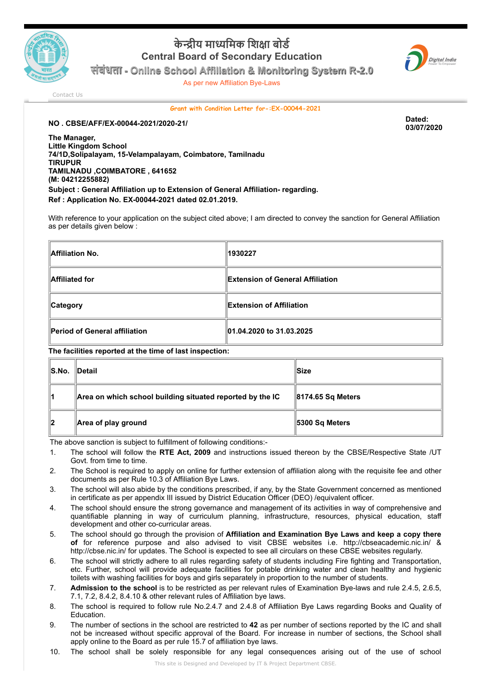

## **केीय मािमक िशा बोड Central Board of Secondary Education**



**संबंधता - Online School Affiliation & Monitoring System R-2.0**

As per new Affiliation Bye-Laws

[Contact Us](http://cbseaff.nic.in/cbse_aff/help.aspx)

## **Grant with Condition Letter for-:EX-00044-2021**

**NO . CBSE/AFF/EX-00044-2021/2020-21/ Dated:**

**03/07/2020**

**The Manager, Little Kingdom School 74/1D,Solipalayam, 15-Velampalayam, Coimbatore, Tamilnadu TIRUPUR TAMILNADU ,COIMBATORE , 641652 (M: 04212255882) Subject : General Affiliation up to Extension of General Affiliation- regarding. Ref : Application No. EX-00044-2021 dated 02.01.2019.**

With reference to your application on the subject cited above; I am directed to convey the sanction for General Affiliation as per details given below :

| Affiliation No.               | 1930227                           |  |
|-------------------------------|-----------------------------------|--|
| Affiliated for                | ∥Extension of General Affiliation |  |
| <b>Category</b>               | <b>Extension of Affiliation</b>   |  |
| Period of General affiliation | 01.04.2020 to 31.03.2025          |  |

**The facilities reported at the time of last inspection:**

| S.No. | $\blacksquare$ Detail                                     | llSize                |
|-------|-----------------------------------------------------------|-----------------------|
| 11    | Area on which school building situated reported by the IC | 8174.65 Sq Meters     |
| 12    | Area of play ground                                       | <b>5300 Sq Meters</b> |

The above sanction is subject to fulfillment of following conditions:-

- 1. The school will follow the **RTE Act, 2009** and instructions issued thereon by the CBSE/Respective State /UT Govt. from time to time.
- 2. The School is required to apply on online for further extension of affiliation along with the requisite fee and other documents as per Rule 10.3 of Affiliation Bye Laws.
- 3. The school will also abide by the conditions prescribed, if any, by the State Government concerned as mentioned in certificate as per appendix III issued by District Education Officer (DEO) /equivalent officer.
- 4. The school should ensure the strong governance and management of its activities in way of comprehensive and quantifiable planning in way of curriculum planning, infrastructure, resources, physical education, staff development and other co-curricular areas.
- 5. The school should go through the provision of **Affiliation and Examination Bye Laws and keep a copy there of** for reference purpose and also advised to visit CBSE websites i.e. http://cbseacademic.nic.in/ & http://cbse.nic.in/ for updates. The School is expected to see all circulars on these CBSE websites regularly.
- 6. The school will strictly adhere to all rules regarding safety of students including Fire fighting and Transportation, etc. Further, school will provide adequate facilities for potable drinking water and clean healthy and hygienic toilets with washing facilities for boys and girls separately in proportion to the number of students.
- 7. **Admission to the school** is to be restricted as per relevant rules of Examination Bye-laws and rule 2.4.5, 2.6.5, 7.1, 7.2, 8.4.2, 8.4.10 & other relevant rules of Affiliation bye laws.
- 8. The school is required to follow rule No.2.4.7 and 2.4.8 of Affiliation Bye Laws regarding Books and Quality of Education.
- 9. The number of sections in the school are restricted to **42** as per number of sections reported by the IC and shall not be increased without specific approval of the Board. For increase in number of sections, the School shall apply online to the Board as per rule 15.7 of affiliation bye laws.
- 10. The school shall be solely responsible for any legal consequences arising out of the use of school